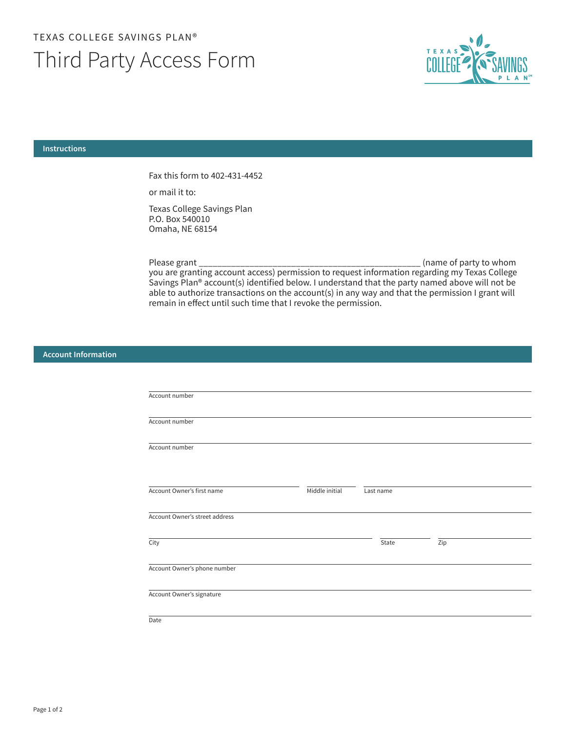## TEXAS COLLEGE SAVINGS PLAN® Third Party Access Form



## **Instructions**

Fax this form to 402-431-4452

or mail it to:

Texas College Savings Plan P.O. Box 540010 Omaha, NE 68154

\_\_\_\_\_\_\_\_\_\_\_\_\_\_\_\_\_\_\_\_\_\_\_\_\_\_\_\_\_\_\_\_\_\_\_\_\_\_\_\_\_\_\_\_\_\_\_\_ (name of party to whom you are granting account access) permission to request information regarding my Texas College Please grant Savings Plan® account(s) identified below. I understand that the party named above will not be able to authorize transactions on the account(s) in any way and that the permission I grant will remain in effect until such time that I revoke the permission.

## **Account Information**

| Account number                 |                |           |     |  |
|--------------------------------|----------------|-----------|-----|--|
| Account number                 |                |           |     |  |
| Account number                 |                |           |     |  |
|                                |                |           |     |  |
| Account Owner's first name     | Middle initial | Last name |     |  |
| Account Owner's street address |                |           |     |  |
| City                           |                | State     | Zip |  |
| Account Owner's phone number   |                |           |     |  |
| Account Owner's signature      |                |           |     |  |
| Date                           |                |           |     |  |